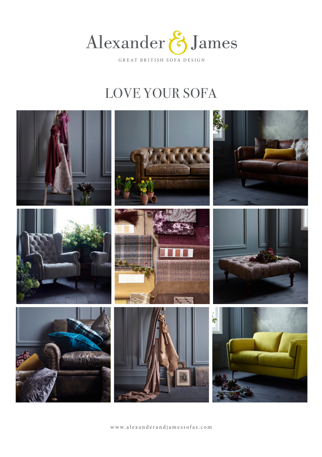

# LOVE YOUR SOFA



www.alexanderandjamessofas.com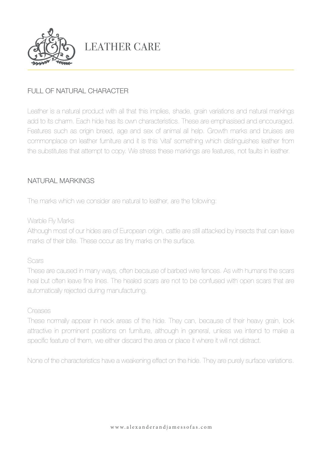

# LEATHER CARE

## FULL OF NATURAL CHARACTER

Leather is a natural product with all that this implies, shade, grain variations and natural markings add to its charm. Each hide has its own characteristics. These are emphasised and encouraged. Features such as origin breed, age and sex of animal all help. Growth marks and bruises are commonplace on leather furniture and it is this 'vital' something which distinguishes leather from the substitutes that attempt to copy. We stress these markings are features, not faults in leather.

### NATURAL MARKINGS

The marks which we consider are natural to leather, are the following:

Warble Fly Marks

Although most of our hides are of European origin, cattle are still attacked by insects that can leave marks of their bite. These occur as tiny marks on the surface.

#### Scars

These are caused in many ways, often because of barbed wire fences. As with humans the scars heal but often leave fine lines. The healed scars are not to be confused with open scars that are automatically rejected during manufacturing.

#### Creases

These normally appear in neck areas of the hide. They can, because of their heavy grain, look attractive in prominent positions on furniture, although in general, unless we intend to make a specific feature of them, we either discard the area or place it where it will not distract.

None of the characteristics have a weakening effect on the hide. They are purely surface variations.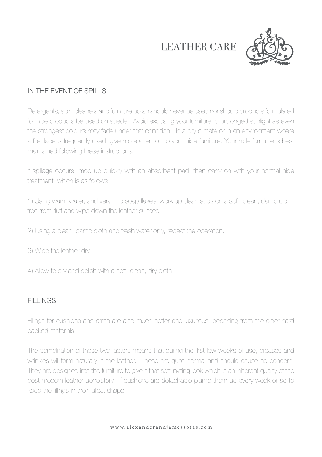# LEATHER CARE



# IN THE EVENT OF SPILLS!

Detergents, spirit cleaners and furniture polish should never be used nor should products formulated for hide products be used on suede. Avoid exposing your furniture to prolonged sunlight as even the strongest colours may fade under that condition. In a dry climate or in an environment where a fireplace is frequently used, give more attention to your hide furniture. Your hide furniture is best maintained following these instructions.

If spillage occurs, mop up quickly with an absorbent pad, then carry on with your normal hide treatment, which is as follows:

1) Using warm water, and very mild soap flakes, work up clean suds on a soft, clean, damp cloth, free from fluff and wipe down the leather surface.

2) Using a clean, damp cloth and fresh water only, repeat the operation.

3) Wipe the leather dry.

4) Allow to dry and polish with a soft, clean, dry cloth.

## FILL INGS

Fillings for cushions and arms are also much softer and luxurious, departing from the older hard packed materials.

The combination of these two factors means that during the first few weeks of use, creases and wrinkles will form naturally in the leather. These are quite normal and should cause no concern. They are designed into the furniture to give it that soft inviting look which is an inherent quality of the best modern leather upholstery. If cushions are detachable plump them up every week or so to keep the fillings in their fullest shape.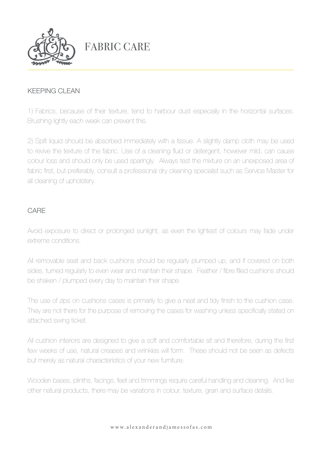

FABRIC CARE

### KEEPING CLEAN

1) Fabrics, because of their texture, tend to harbour dust especially in the horizontal surfaces. Brushing lightly each week can prevent this.

2) Spilt liquid should be absorbed immediately with a tissue. A slightly damp cloth may be used to revive the texture of the fabric. Use of a cleaning fluid or detergent, however mild, can cause colour loss and should only be used sparingly. Always test the mixture on an unexposed area of fabric first, but preferably, consult a professional dry cleaning specialist such as Service Master for all cleaning of upholstery.

### CARE

Avoid exposure to direct or prolonged sunlight, as even the lightest of colours may fade under extreme conditions.

All removable seat and back cushions should be regularly plumped up, and if covered on both sides, turned regularly to even wear and maintain their shape. Feather / fibre filled cushions should be shaken / plumped every day to maintain their shape.

The use of zips on cushions cases is primarily to give a neat and tidy finish to the cushion case. They are not there for the purpose of removing the cases for washing unless specifically stated on attached swing ticket.

All cushion interiors are designed to give a soft and comfortable sit and therefore, during the first few weeks of use, natural creases and wrinkles will form. These should not be seen as defects but merely as natural characteristics of your new furniture.

Wooden bases, plinths, facings, feet and trimmings require careful handling and cleaning. And like other natural products, there may be variations in colour, texture, grain and surface details.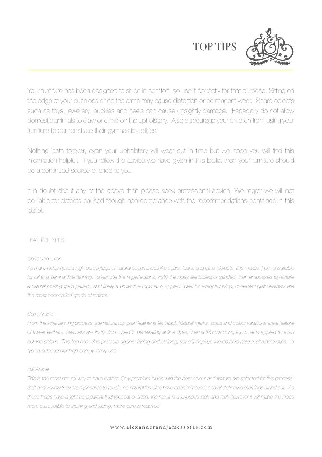TOP TIPS



Your furniture has been designed to sit on in comfort, so use it correctly for that purpose. Sitting on the edge of your cushions or on the arms may cause distortion or permanent wear. Sharp objects such as toys, jewellery, buckles and heels can cause unsightly damage. Especially do not allow domestic animals to claw or climb on the upholstery. Also discourage your children from using your furniture to demonstrate their gymnastic abilities!

Nothing lasts forever, even your upholstery will wear out in time but we hope you will find this information helpful. If you follow the advice we have given in this leaflet then your furniture should be a continued source of pride to you.

If in doubt about any of the above then please seek professional advice. We regret we will not be liable for defects caused though non-compliance with the recommendations contained in this leaflet.

#### LEATHER TYPES

#### *Corrected Grain*

*As many hides have a high percentage of natural occurrences like scars, tears, and other defects, this makes them unsuitable for full and semi aniline tanning. To remove the imperfections, firstly the hides are buffed or sanded, then embossed to restore a natural looking grain pattern, and finally a protective topcoat is applied. Ideal for everyday living, corrected grain leathers are the most economical grade of leather.*

#### *Semi Aniline*

*From the initial tanning process, the natural top grain leather is left intact. Natural marks, scars and colour variations are a feature of these leathers. Leathers are firstly drum dyed in penetrating aniline dyes, then a thin matching top coat is applied to even out the colour. This top coat also protects against fading and staining, yet still displays the leathers natural characteristics. A typical selection for high-energy family use.*

#### *Full Aniline*

*This is the most natural way to have leather. Only premium hides with the best colour and texture are selected for this process. Soft and velvety they are a pleasure to touch, no natural features have been removed, and all distinctive markings stand out. As these hides have a light transparent final topcoat or finish, the result is a luxurious look and feel, however it will make the hides more susceptible to staining and fading, more care is required.*

#### www.alexanderandjamessofas.com